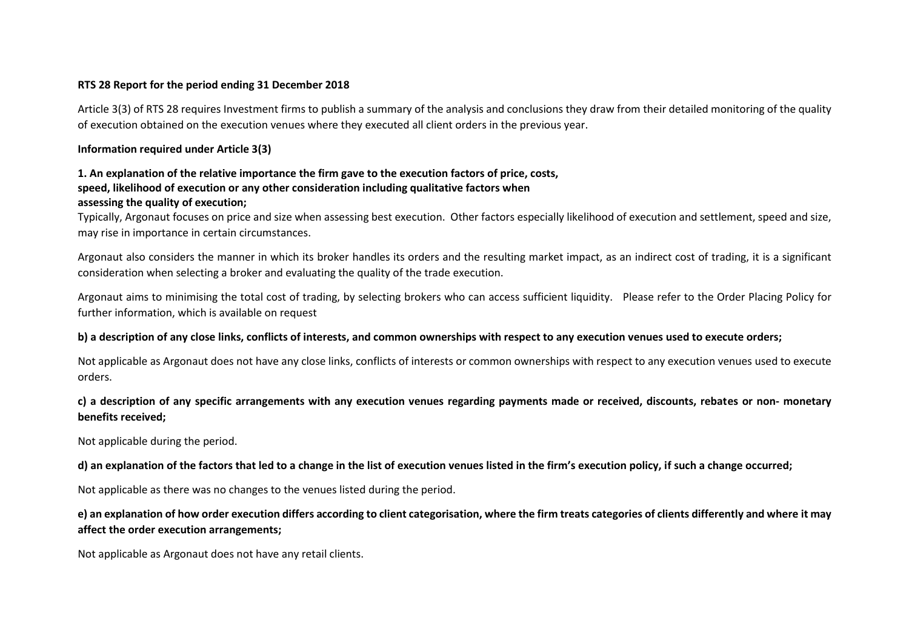#### **RTS 28 Report for the period ending 31 December 2018**

Article 3(3) of RTS 28 requires Investment firms to publish a summary of the analysis and conclusions they draw from their detailed monitoring of the quality of execution obtained on the execution venues where they executed all client orders in the previous year.

## **Information required under Article 3(3)**

## **1. An explanation of the relative importance the firm gave to the execution factors of price, costs, speed, likelihood of execution or any other consideration including qualitative factors when assessing the quality of execution;**

Typically, Argonaut focuses on price and size when assessing best execution. Other factors especially likelihood of execution and settlement, speed and size, may rise in importance in certain circumstances.

Argonaut also considers the manner in which its broker handles its orders and the resulting market impact, as an indirect cost of trading, it is a significant consideration when selecting a broker and evaluating the quality of the trade execution.

Argonaut aims to minimising the total cost of trading, by selecting brokers who can access sufficient liquidity. Please refer to the Order Placing Policy for further information, which is available on request

## **b) a description of any close links, conflicts of interests, and common ownerships with respect to any execution venues used to execute orders;**

Not applicable as Argonaut does not have any close links, conflicts of interests or common ownerships with respect to any execution venues used to execute orders.

# **c) a description of any specific arrangements with any execution venues regarding payments made or received, discounts, rebates or non‐ monetary benefits received;**

Not applicable during the period.

**d) an explanation of the factors that led to a change in the list of execution venues listed in the firm's execution policy, if such a change occurred;**

Not applicable as there was no changes to the venues listed during the period.

## **e) an explanation of how order execution differs according to client categorisation, where the firm treats categories of clients differently and where it may affect the order execution arrangements;**

Not applicable as Argonaut does not have any retail clients.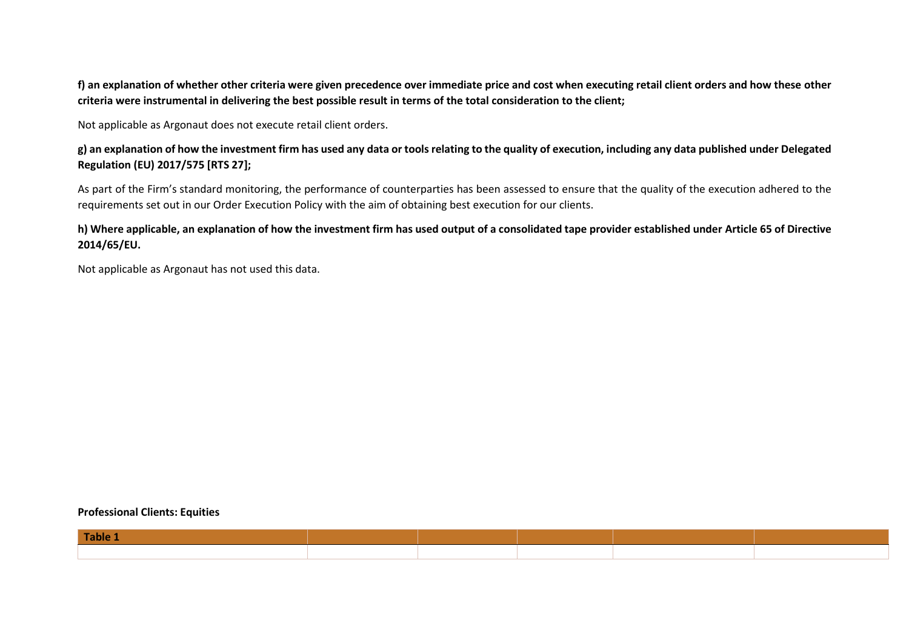**f) an explanation of whether other criteria were given precedence over immediate price and cost when executing retail client orders and how these other criteria were instrumental in delivering the best possible result in terms of the total consideration to the client;**

Not applicable as Argonaut does not execute retail client orders.

**g) an explanation of how the investment firm has used any data or tools relating to the quality of execution, including any data published under Delegated Regulation (EU) 2017/575 [RTS 27];**

As part of the Firm's standard monitoring, the performance of counterparties has been assessed to ensure that the quality of the execution adhered to the requirements set out in our Order Execution Policy with the aim of obtaining best execution for our clients.

**h) Where applicable, an explanation of how the investment firm has used output of a consolidated tape provider established under Article 65 of Directive 2014/65/EU.**

Not applicable as Argonaut has not used this data.

#### **Professional Clients: Equities**

| Table 1 |  |  |  |
|---------|--|--|--|
|         |  |  |  |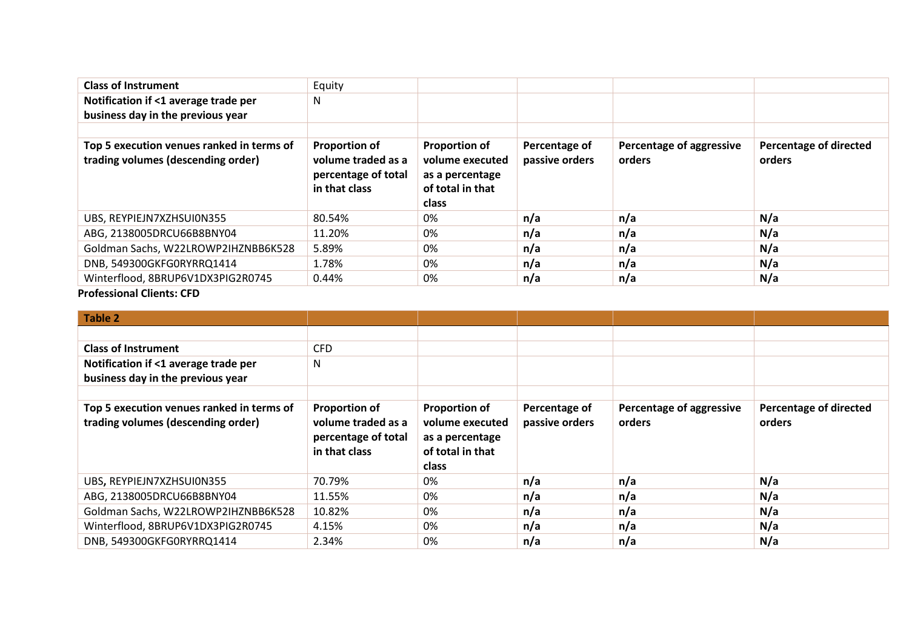| <b>Class of Instrument</b>                                                      | Equity                                                                             |                                                                                         |                                 |                                    |                                         |
|---------------------------------------------------------------------------------|------------------------------------------------------------------------------------|-----------------------------------------------------------------------------------------|---------------------------------|------------------------------------|-----------------------------------------|
| Notification if <1 average trade per                                            | N                                                                                  |                                                                                         |                                 |                                    |                                         |
| business day in the previous year                                               |                                                                                    |                                                                                         |                                 |                                    |                                         |
|                                                                                 |                                                                                    |                                                                                         |                                 |                                    |                                         |
| Top 5 execution venues ranked in terms of<br>trading volumes (descending order) | <b>Proportion of</b><br>volume traded as a<br>percentage of total<br>in that class | <b>Proportion of</b><br>volume executed<br>as a percentage<br>of total in that<br>class | Percentage of<br>passive orders | Percentage of aggressive<br>orders | <b>Percentage of directed</b><br>orders |
| UBS, REYPIEJN7XZHSUI0N355                                                       | 80.54%                                                                             | 0%                                                                                      | n/a                             | n/a                                | N/a                                     |
| ABG, 2138005DRCU66B8BNY04                                                       | 11.20%                                                                             | 0%                                                                                      | n/a                             | n/a                                | N/a                                     |
| Goldman Sachs, W22LROWP2IHZNBB6K528                                             | 5.89%                                                                              | 0%                                                                                      | n/a                             | n/a                                | N/a                                     |
| DNB, 549300GKFG0RYRRQ1414                                                       | 1.78%                                                                              | 0%                                                                                      | n/a                             | n/a                                | N/a                                     |
| Winterflood, 8BRUP6V1DX3PIG2R0745                                               | 0.44%                                                                              | 0%                                                                                      | n/a                             | n/a                                | N/a                                     |

## **Professional Clients: CFD**

| <b>Table 2</b>                                                                  |                                                                   |                                                            |                                 |                                    |                                         |
|---------------------------------------------------------------------------------|-------------------------------------------------------------------|------------------------------------------------------------|---------------------------------|------------------------------------|-----------------------------------------|
|                                                                                 |                                                                   |                                                            |                                 |                                    |                                         |
| <b>Class of Instrument</b>                                                      | <b>CFD</b>                                                        |                                                            |                                 |                                    |                                         |
| Notification if <1 average trade per                                            | N                                                                 |                                                            |                                 |                                    |                                         |
| business day in the previous year                                               |                                                                   |                                                            |                                 |                                    |                                         |
|                                                                                 |                                                                   |                                                            |                                 |                                    |                                         |
| Top 5 execution venues ranked in terms of<br>trading volumes (descending order) | <b>Proportion of</b><br>volume traded as a<br>percentage of total | <b>Proportion of</b><br>volume executed<br>as a percentage | Percentage of<br>passive orders | Percentage of aggressive<br>orders | <b>Percentage of directed</b><br>orders |
|                                                                                 | in that class                                                     | of total in that<br>class                                  |                                 |                                    |                                         |
| UBS, REYPIEJN7XZHSUI0N355                                                       | 70.79%                                                            | 0%                                                         | n/a                             | n/a                                | N/a                                     |
| ABG, 2138005DRCU66B8BNY04                                                       | 11.55%                                                            | 0%                                                         | n/a                             | n/a                                | N/a                                     |
| Goldman Sachs, W22LROWP2IHZNBB6K528                                             | 10.82%                                                            | 0%                                                         | n/a                             | n/a                                | N/a                                     |
| Winterflood, 8BRUP6V1DX3PIG2R0745                                               | 4.15%                                                             | 0%                                                         | n/a                             | n/a                                | N/a                                     |